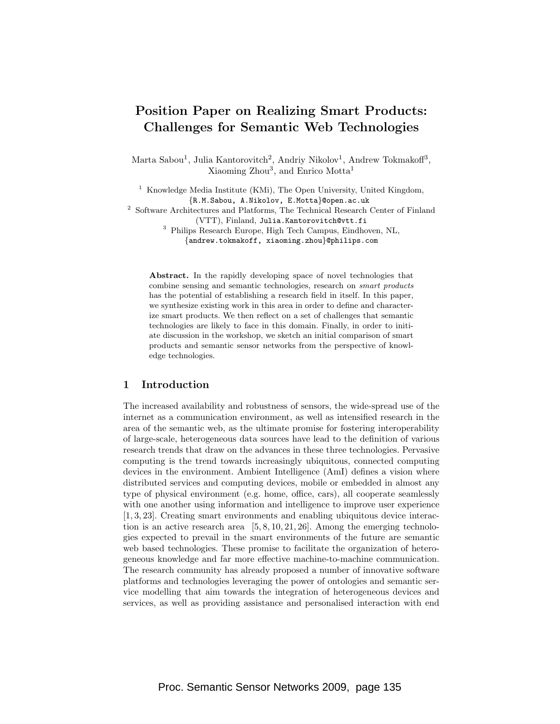# Position Paper on Realizing Smart Products: Challenges for Semantic Web Technologies

Marta Sabou<sup>1</sup>, Julia Kantorovitch<sup>2</sup>, Andriy Nikolov<sup>1</sup>, Andrew Tokmakoff<sup>3</sup>, Xiaoming Zhou<sup>3</sup>, and Enrico Motta<sup>1</sup>

<sup>1</sup> Knowledge Media Institute (KMi), The Open University, United Kingdom, {R.M.Sabou, A.Nikolov, E.Motta}@open.ac.uk

<sup>2</sup> Software Architectures and Platforms, The Technical Research Center of Finland

(VTT), Finland, Julia.Kantorovitch@vtt.fi

<sup>3</sup> Philips Research Europe, High Tech Campus, Eindhoven, NL, {andrew.tokmakoff, xiaoming.zhou}@philips.com

Abstract. In the rapidly developing space of novel technologies that combine sensing and semantic technologies, research on smart products has the potential of establishing a research field in itself. In this paper, we synthesize existing work in this area in order to define and characterize smart products. We then reflect on a set of challenges that semantic technologies are likely to face in this domain. Finally, in order to initiate discussion in the workshop, we sketch an initial comparison of smart products and semantic sensor networks from the perspective of knowledge technologies.

## 1 Introduction

The increased availability and robustness of sensors, the wide-spread use of the internet as a communication environment, as well as intensified research in the area of the semantic web, as the ultimate promise for fostering interoperability of large-scale, heterogeneous data sources have lead to the definition of various research trends that draw on the advances in these three technologies. Pervasive computing is the trend towards increasingly ubiquitous, connected computing devices in the environment. Ambient Intelligence (AmI) defines a vision where distributed services and computing devices, mobile or embedded in almost any type of physical environment (e.g. home, office, cars), all cooperate seamlessly with one another using information and intelligence to improve user experience [1, 3, 23]. Creating smart environments and enabling ubiquitous device interaction is an active research area  $[5, 8, 10, 21, 26]$ . Among the emerging technologies expected to prevail in the smart environments of the future are semantic web based technologies. These promise to facilitate the organization of heterogeneous knowledge and far more effective machine-to-machine communication. The research community has already proposed a number of innovative software platforms and technologies leveraging the power of ontologies and semantic service modelling that aim towards the integration of heterogeneous devices and services, as well as providing assistance and personalised interaction with end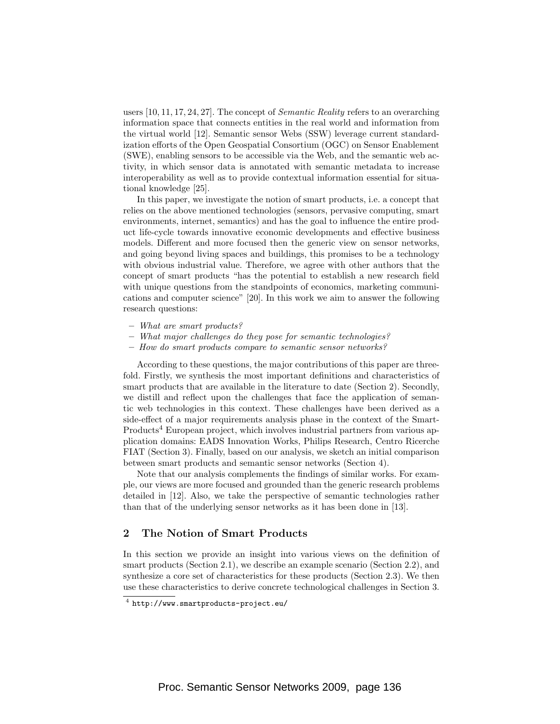users [10, 11, 17, 24, 27]. The concept of Semantic Reality refers to an overarching information space that connects entities in the real world and information from the virtual world [12]. Semantic sensor Webs (SSW) leverage current standardization efforts of the Open Geospatial Consortium (OGC) on Sensor Enablement (SWE), enabling sensors to be accessible via the Web, and the semantic web activity, in which sensor data is annotated with semantic metadata to increase interoperability as well as to provide contextual information essential for situational knowledge [25].

In this paper, we investigate the notion of smart products, i.e. a concept that relies on the above mentioned technologies (sensors, pervasive computing, smart environments, internet, semantics) and has the goal to influence the entire product life-cycle towards innovative economic developments and effective business models. Different and more focused then the generic view on sensor networks, and going beyond living spaces and buildings, this promises to be a technology with obvious industrial value. Therefore, we agree with other authors that the concept of smart products "has the potential to establish a new research field with unique questions from the standpoints of economics, marketing communications and computer science" [20]. In this work we aim to answer the following research questions:

- What are smart products?
- What major challenges do they pose for semantic technologies?
- How do smart products compare to semantic sensor networks?

According to these questions, the major contributions of this paper are threefold. Firstly, we synthesis the most important definitions and characteristics of smart products that are available in the literature to date (Section 2). Secondly, we distill and reflect upon the challenges that face the application of semantic web technologies in this context. These challenges have been derived as a side-effect of a major requirements analysis phase in the context of the Smart-Products<sup>4</sup> European project, which involves industrial partners from various application domains: EADS Innovation Works, Philips Research, Centro Ricerche FIAT (Section 3). Finally, based on our analysis, we sketch an initial comparison between smart products and semantic sensor networks (Section 4).

Note that our analysis complements the findings of similar works. For example, our views are more focused and grounded than the generic research problems detailed in [12]. Also, we take the perspective of semantic technologies rather than that of the underlying sensor networks as it has been done in [13].

# 2 The Notion of Smart Products

In this section we provide an insight into various views on the definition of smart products (Section 2.1), we describe an example scenario (Section 2.2), and synthesize a core set of characteristics for these products (Section 2.3). We then use these characteristics to derive concrete technological challenges in Section 3.

 $^4$  http://www.smartproducts-project.eu/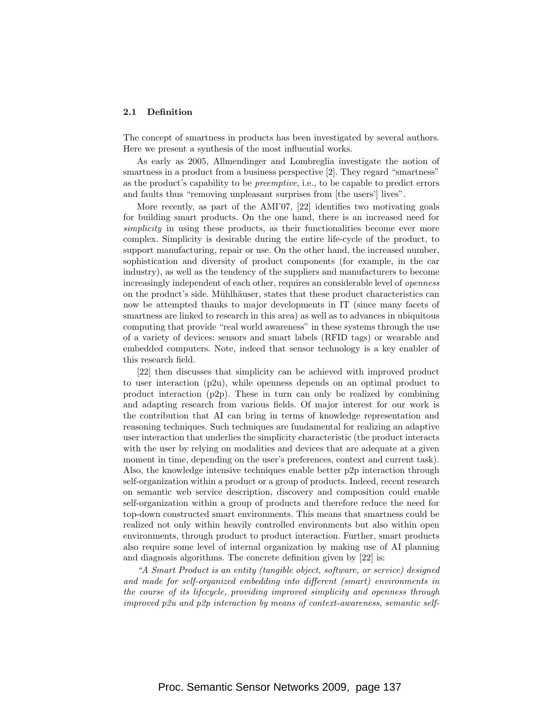#### 2.1 Definition

The concept of smartness in products has been investigated by several authors. Here we present a synthesis of the most influential works.

As early as 2005, Allmendinger and Lombreglia investigate the notion of smartness in a product from a business perspective [2]. They regard "smartness" as the product's capability to be preemptive, i.e., to be capable to predict errors and faults thus "removing unpleasant surprises from [the users'] lives".

More recently, as part of the AMI'07, [22] identifies two motivating goals for building smart products. On the one hand, there is an increased need for simplicity in using these products, as their functionalities become ever more complex. Simplicity is desirable during the entire life-cycle of the product, to support manufacturing, repair or use. On the other hand, the increased number, sophistication and diversity of product components (for example, in the car industry), as well as the tendency of the suppliers and manufacturers to become increasingly independent of each other, requires an considerable level of openness on the product's side. Mühlhäuser, states that these product characteristics can now be attempted thanks to major developments in IT (since many facets of smartness are linked to research in this area) as well as to advances in ubiquitous computing that provide "real world awareness" in these systems through the use of a variety of devices: sensors and smart labels (RFID tags) or wearable and embedded computers. Note, indeed that sensor technology is a key enabler of this research field.

[22] then discusses that simplicity can be achieved with improved product to user interaction (p2u), while openness depends on an optimal product to product interaction (p2p). These in turn can only be realized by combining and adapting research from various fields. Of major interest for our work is the contribution that AI can bring in terms of knowledge representation and reasoning techniques. Such techniques are fundamental for realizing an adaptive user interaction that underlies the simplicity characteristic (the product interacts with the user by relying on modalities and devices that are adequate at a given moment in time, depending on the user's preferences, context and current task). Also, the knowledge intensive techniques enable better p2p interaction through self-organization within a product or a group of products. Indeed, recent research on semantic web service description, discovery and composition could enable self-organization within a group of products and therefore reduce the need for top-down constructed smart environments. This means that smartness could be realized not only within heavily controlled environments but also within open environments, through product to product interaction. Further, smart products also require some level of internal organization by making use of AI planning and diagnosis algorithms. The concrete definition given by [22] is:

"A Smart Product is an entity (tangible object, software, or service) designed and made for self-organized embedding into different (smart) environments in the course of its lifecycle, providing improved simplicity and openness through improved p2u and p2p interaction by means of context-awareness, semantic self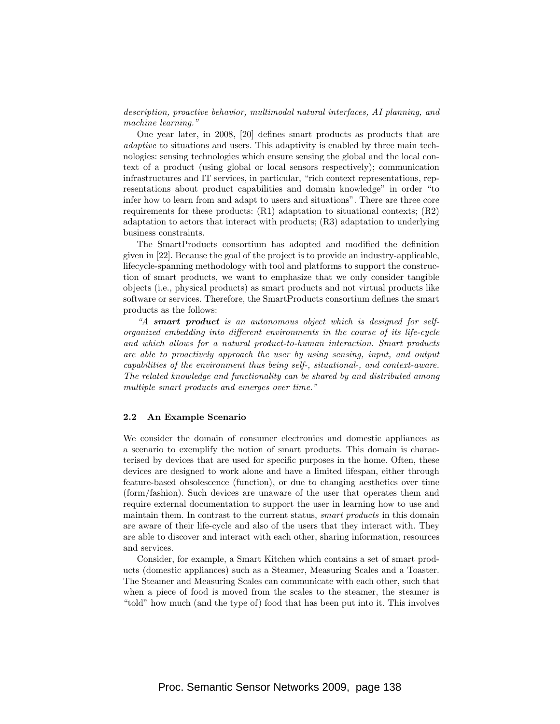description, proactive behavior, multimodal natural interfaces, AI planning, and machine learning."

One year later, in 2008, [20] defines smart products as products that are adaptive to situations and users. This adaptivity is enabled by three main technologies: sensing technologies which ensure sensing the global and the local context of a product (using global or local sensors respectively); communication infrastructures and IT services, in particular, "rich context representations, representations about product capabilities and domain knowledge" in order "to infer how to learn from and adapt to users and situations". There are three core requirements for these products: (R1) adaptation to situational contexts; (R2) adaptation to actors that interact with products; (R3) adaptation to underlying business constraints.

The SmartProducts consortium has adopted and modified the definition given in [22]. Because the goal of the project is to provide an industry-applicable, lifecycle-spanning methodology with tool and platforms to support the construction of smart products, we want to emphasize that we only consider tangible objects (i.e., physical products) as smart products and not virtual products like software or services. Therefore, the SmartProducts consortium defines the smart products as the follows:

"A smart product is an autonomous object which is designed for selforganized embedding into different environments in the course of its life-cycle and which allows for a natural product-to-human interaction. Smart products are able to proactively approach the user by using sensing, input, and output capabilities of the environment thus being self-, situational-, and context-aware. The related knowledge and functionality can be shared by and distributed among multiple smart products and emerges over time."

### 2.2 An Example Scenario

We consider the domain of consumer electronics and domestic appliances as a scenario to exemplify the notion of smart products. This domain is characterised by devices that are used for specific purposes in the home. Often, these devices are designed to work alone and have a limited lifespan, either through feature-based obsolescence (function), or due to changing aesthetics over time (form/fashion). Such devices are unaware of the user that operates them and require external documentation to support the user in learning how to use and maintain them. In contrast to the current status, *smart products* in this domain are aware of their life-cycle and also of the users that they interact with. They are able to discover and interact with each other, sharing information, resources and services.

Consider, for example, a Smart Kitchen which contains a set of smart products (domestic appliances) such as a Steamer, Measuring Scales and a Toaster. The Steamer and Measuring Scales can communicate with each other, such that when a piece of food is moved from the scales to the steamer, the steamer is "told" how much (and the type of) food that has been put into it. This involves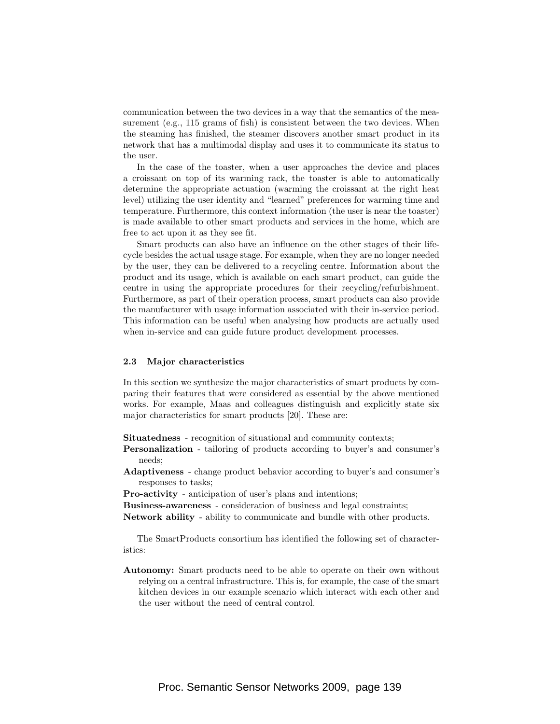communication between the two devices in a way that the semantics of the measurement (e.g., 115 grams of fish) is consistent between the two devices. When the steaming has finished, the steamer discovers another smart product in its network that has a multimodal display and uses it to communicate its status to the user.

In the case of the toaster, when a user approaches the device and places a croissant on top of its warming rack, the toaster is able to automatically determine the appropriate actuation (warming the croissant at the right heat level) utilizing the user identity and "learned" preferences for warming time and temperature. Furthermore, this context information (the user is near the toaster) is made available to other smart products and services in the home, which are free to act upon it as they see fit.

Smart products can also have an influence on the other stages of their lifecycle besides the actual usage stage. For example, when they are no longer needed by the user, they can be delivered to a recycling centre. Information about the product and its usage, which is available on each smart product, can guide the centre in using the appropriate procedures for their recycling/refurbishment. Furthermore, as part of their operation process, smart products can also provide the manufacturer with usage information associated with their in-service period. This information can be useful when analysing how products are actually used when in-service and can guide future product development processes.

#### 2.3 Major characteristics

In this section we synthesize the major characteristics of smart products by comparing their features that were considered as essential by the above mentioned works. For example, Maas and colleagues distinguish and explicitly state six major characteristics for smart products [20]. These are:

Situatedness - recognition of situational and community contexts;

- Personalization tailoring of products according to buyer's and consumer's needs;
- Adaptiveness change product behavior according to buyer's and consumer's responses to tasks;

Pro-activity - anticipation of user's plans and intentions;

Business-awareness - consideration of business and legal constraints;

Network ability - ability to communicate and bundle with other products.

The SmartProducts consortium has identified the following set of characteristics:

Autonomy: Smart products need to be able to operate on their own without relying on a central infrastructure. This is, for example, the case of the smart kitchen devices in our example scenario which interact with each other and the user without the need of central control.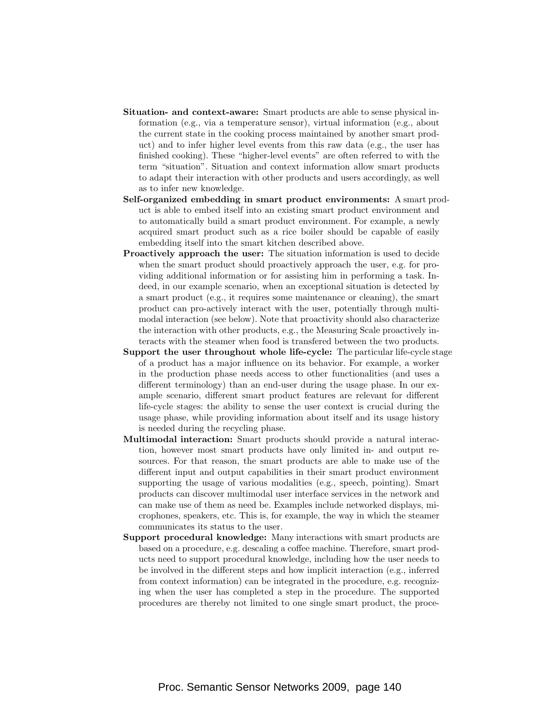- Situation- and context-aware: Smart products are able to sense physical information (e.g., via a temperature sensor), virtual information (e.g., about the current state in the cooking process maintained by another smart product) and to infer higher level events from this raw data (e.g., the user has finished cooking). These "higher-level events" are often referred to with the term "situation". Situation and context information allow smart products to adapt their interaction with other products and users accordingly, as well as to infer new knowledge.
- Self-organized embedding in smart product environments: A smart product is able to embed itself into an existing smart product environment and to automatically build a smart product environment. For example, a newly acquired smart product such as a rice boiler should be capable of easily embedding itself into the smart kitchen described above.
- Proactively approach the user: The situation information is used to decide when the smart product should proactively approach the user, e.g. for providing additional information or for assisting him in performing a task. Indeed, in our example scenario, when an exceptional situation is detected by a smart product (e.g., it requires some maintenance or cleaning), the smart product can pro-actively interact with the user, potentially through multimodal interaction (see below). Note that proactivity should also characterize the interaction with other products, e.g., the Measuring Scale proactively interacts with the steamer when food is transfered between the two products.
- Support the user throughout whole life-cycle: The particular life-cycle stage of a product has a major influence on its behavior. For example, a worker in the production phase needs access to other functionalities (and uses a different terminology) than an end-user during the usage phase. In our example scenario, different smart product features are relevant for different life-cycle stages: the ability to sense the user context is crucial during the usage phase, while providing information about itself and its usage history is needed during the recycling phase.
- Multimodal interaction: Smart products should provide a natural interaction, however most smart products have only limited in- and output resources. For that reason, the smart products are able to make use of the different input and output capabilities in their smart product environment supporting the usage of various modalities (e.g., speech, pointing). Smart products can discover multimodal user interface services in the network and can make use of them as need be. Examples include networked displays, microphones, speakers, etc. This is, for example, the way in which the steamer communicates its status to the user.
- Support procedural knowledge: Many interactions with smart products are based on a procedure, e.g. descaling a coffee machine. Therefore, smart products need to support procedural knowledge, including how the user needs to be involved in the different steps and how implicit interaction (e.g., inferred from context information) can be integrated in the procedure, e.g. recognizing when the user has completed a step in the procedure. The supported procedures are thereby not limited to one single smart product, the proce-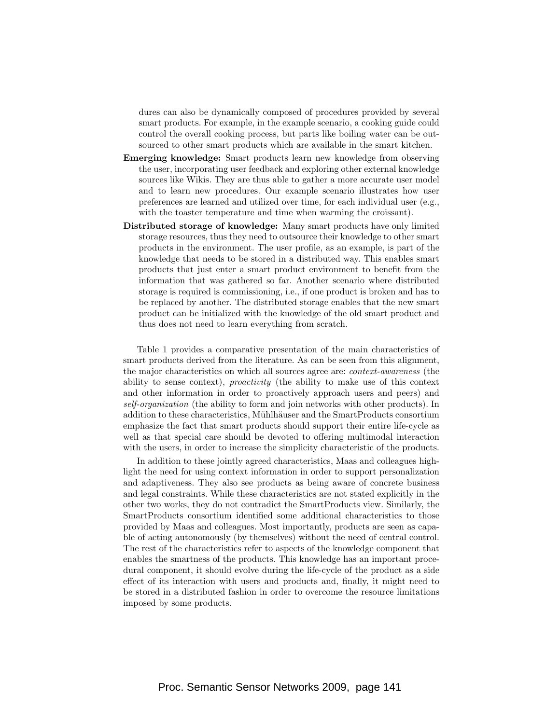dures can also be dynamically composed of procedures provided by several smart products. For example, in the example scenario, a cooking guide could control the overall cooking process, but parts like boiling water can be outsourced to other smart products which are available in the smart kitchen.

- Emerging knowledge: Smart products learn new knowledge from observing the user, incorporating user feedback and exploring other external knowledge sources like Wikis. They are thus able to gather a more accurate user model and to learn new procedures. Our example scenario illustrates how user preferences are learned and utilized over time, for each individual user (e.g., with the toaster temperature and time when warming the croissant).
- Distributed storage of knowledge: Many smart products have only limited storage resources, thus they need to outsource their knowledge to other smart products in the environment. The user profile, as an example, is part of the knowledge that needs to be stored in a distributed way. This enables smart products that just enter a smart product environment to benefit from the information that was gathered so far. Another scenario where distributed storage is required is commissioning, i.e., if one product is broken and has to be replaced by another. The distributed storage enables that the new smart product can be initialized with the knowledge of the old smart product and thus does not need to learn everything from scratch.

Table 1 provides a comparative presentation of the main characteristics of smart products derived from the literature. As can be seen from this alignment, the major characteristics on which all sources agree are: context-awareness (the ability to sense context), proactivity (the ability to make use of this context and other information in order to proactively approach users and peers) and self-organization (the ability to form and join networks with other products). In addition to these characteristics, Mühlhäuser and the SmartProducts consortium emphasize the fact that smart products should support their entire life-cycle as well as that special care should be devoted to offering multimodal interaction with the users, in order to increase the simplicity characteristic of the products.

In addition to these jointly agreed characteristics, Maas and colleagues highlight the need for using context information in order to support personalization and adaptiveness. They also see products as being aware of concrete business and legal constraints. While these characteristics are not stated explicitly in the other two works, they do not contradict the SmartProducts view. Similarly, the SmartProducts consortium identified some additional characteristics to those provided by Maas and colleagues. Most importantly, products are seen as capable of acting autonomously (by themselves) without the need of central control. The rest of the characteristics refer to aspects of the knowledge component that enables the smartness of the products. This knowledge has an important procedural component, it should evolve during the life-cycle of the product as a side effect of its interaction with users and products and, finally, it might need to be stored in a distributed fashion in order to overcome the resource limitations imposed by some products.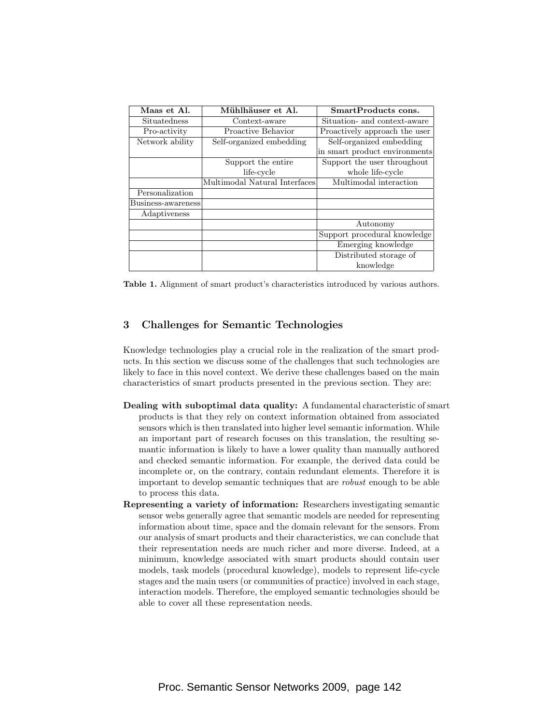| Maas et Al.        | Mühlhäuser et Al.             | SmartProducts cons.           |
|--------------------|-------------------------------|-------------------------------|
| Situatedness       | Context-aware                 | Situation- and context-aware  |
| Pro-activity       | Proactive Behavior            | Proactively approach the user |
| Network ability    | Self-organized embedding      | Self-organized embedding      |
|                    |                               | in smart product environments |
|                    | Support the entire            | Support the user throughout   |
|                    | life-cycle                    | whole life-cycle              |
|                    | Multimodal Natural Interfaces | Multimodal interaction        |
| Personalization    |                               |                               |
| Business-awareness |                               |                               |
| Adaptiveness       |                               |                               |
|                    |                               | Autonomy                      |
|                    |                               | Support procedural knowledge  |
|                    |                               | Emerging knowledge            |
|                    |                               | Distributed storage of        |
|                    |                               | knowledge                     |

Table 1. Alignment of smart product's characteristics introduced by various authors.

# 3 Challenges for Semantic Technologies

Knowledge technologies play a crucial role in the realization of the smart products. In this section we discuss some of the challenges that such technologies are likely to face in this novel context. We derive these challenges based on the main characteristics of smart products presented in the previous section. They are:

- Dealing with suboptimal data quality: A fundamental characteristic of smart products is that they rely on context information obtained from associated sensors which is then translated into higher level semantic information. While an important part of research focuses on this translation, the resulting semantic information is likely to have a lower quality than manually authored and checked semantic information. For example, the derived data could be incomplete or, on the contrary, contain redundant elements. Therefore it is important to develop semantic techniques that are robust enough to be able to process this data.
- Representing a variety of information: Researchers investigating semantic sensor webs generally agree that semantic models are needed for representing information about time, space and the domain relevant for the sensors. From our analysis of smart products and their characteristics, we can conclude that their representation needs are much richer and more diverse. Indeed, at a minimum, knowledge associated with smart products should contain user models, task models (procedural knowledge), models to represent life-cycle stages and the main users (or communities of practice) involved in each stage, interaction models. Therefore, the employed semantic technologies should be able to cover all these representation needs.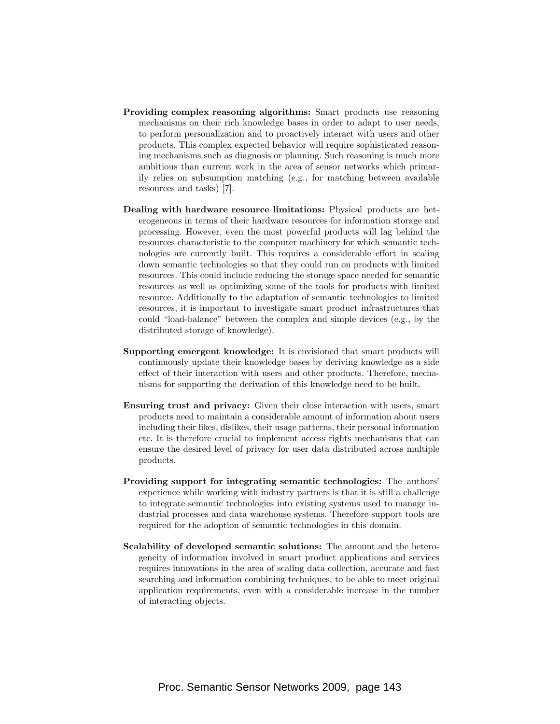- Providing complex reasoning algorithms: Smart products use reasoning mechanisms on their rich knowledge bases in order to adapt to user needs, to perform personalization and to proactively interact with users and other products. This complex expected behavior will require sophisticated reasoning mechanisms such as diagnosis or planning. Such reasoning is much more ambitious than current work in the area of sensor networks which primarily relies on subsumption matching (e.g., for matching between available resources and tasks) [7].
- Dealing with hardware resource limitations: Physical products are heterogeneous in terms of their hardware resources for information storage and processing. However, even the most powerful products will lag behind the resources characteristic to the computer machinery for which semantic technologies are currently built. This requires a considerable effort in scaling down semantic technologies so that they could run on products with limited resources. This could include reducing the storage space needed for semantic resources as well as optimizing some of the tools for products with limited resource. Additionally to the adaptation of semantic technologies to limited resources, it is important to investigate smart product infrastructures that could "load-balance" between the complex and simple devices (e.g., by the distributed storage of knowledge).
- Supporting emergent knowledge: It is envisioned that smart products will continuously update their knowledge bases by deriving knowledge as a side effect of their interaction with users and other products. Therefore, mechanisms for supporting the derivation of this knowledge need to be built.
- Ensuring trust and privacy: Given their close interaction with users, smart products need to maintain a considerable amount of information about users including their likes, dislikes, their usage patterns, their personal information etc. It is therefore crucial to implement access rights mechanisms that can ensure the desired level of privacy for user data distributed across multiple products.
- Providing support for integrating semantic technologies: The authors' experience while working with industry partners is that it is still a challenge to integrate semantic technologies into existing systems used to manage industrial processes and data warehouse systems. Therefore support tools are required for the adoption of semantic technologies in this domain.
- Scalability of developed semantic solutions: The amount and the heterogeneity of information involved in smart product applications and services requires innovations in the area of scaling data collection, accurate and fast searching and information combining techniques, to be able to meet original application requirements, even with a considerable increase in the number of interacting objects.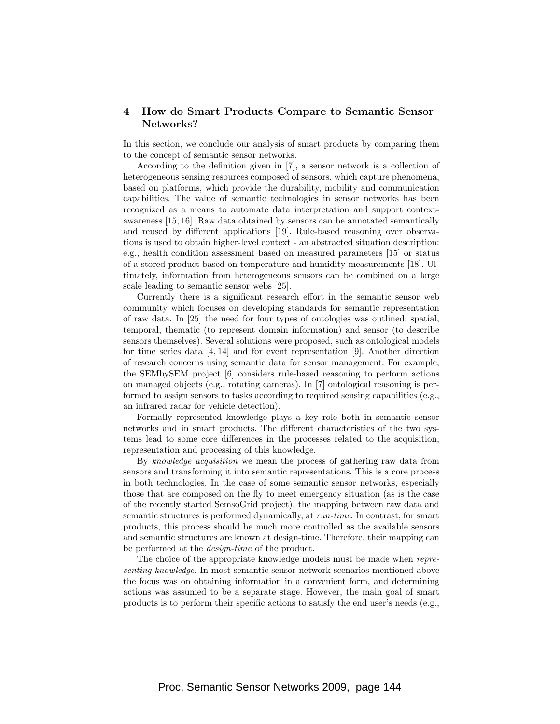# 4 How do Smart Products Compare to Semantic Sensor Networks?

In this section, we conclude our analysis of smart products by comparing them to the concept of semantic sensor networks.

According to the definition given in [7], a sensor network is a collection of heterogeneous sensing resources composed of sensors, which capture phenomena, based on platforms, which provide the durability, mobility and communication capabilities. The value of semantic technologies in sensor networks has been recognized as a means to automate data interpretation and support contextawareness [15, 16]. Raw data obtained by sensors can be annotated semantically and reused by different applications [19]. Rule-based reasoning over observations is used to obtain higher-level context - an abstracted situation description: e.g., health condition assessment based on measured parameters [15] or status of a stored product based on temperature and humidity measurements [18]. Ultimately, information from heterogeneous sensors can be combined on a large scale leading to semantic sensor webs [25].

Currently there is a significant research effort in the semantic sensor web community which focuses on developing standards for semantic representation of raw data. In [25] the need for four types of ontologies was outlined: spatial, temporal, thematic (to represent domain information) and sensor (to describe sensors themselves). Several solutions were proposed, such as ontological models for time series data [4, 14] and for event representation [9]. Another direction of research concerns using semantic data for sensor management. For example, the SEMbySEM project [6] considers rule-based reasoning to perform actions on managed objects (e.g., rotating cameras). In [7] ontological reasoning is performed to assign sensors to tasks according to required sensing capabilities (e.g., an infrared radar for vehicle detection).

Formally represented knowledge plays a key role both in semantic sensor networks and in smart products. The different characteristics of the two systems lead to some core differences in the processes related to the acquisition, representation and processing of this knowledge.

By knowledge acquisition we mean the process of gathering raw data from sensors and transforming it into semantic representations. This is a core process in both technologies. In the case of some semantic sensor networks, especially those that are composed on the fly to meet emergency situation (as is the case of the recently started SemsoGrid project), the mapping between raw data and semantic structures is performed dynamically, at run-time. In contrast, for smart products, this process should be much more controlled as the available sensors and semantic structures are known at design-time. Therefore, their mapping can be performed at the design-time of the product.

The choice of the appropriate knowledge models must be made when representing knowledge. In most semantic sensor network scenarios mentioned above the focus was on obtaining information in a convenient form, and determining actions was assumed to be a separate stage. However, the main goal of smart products is to perform their specific actions to satisfy the end user's needs (e.g.,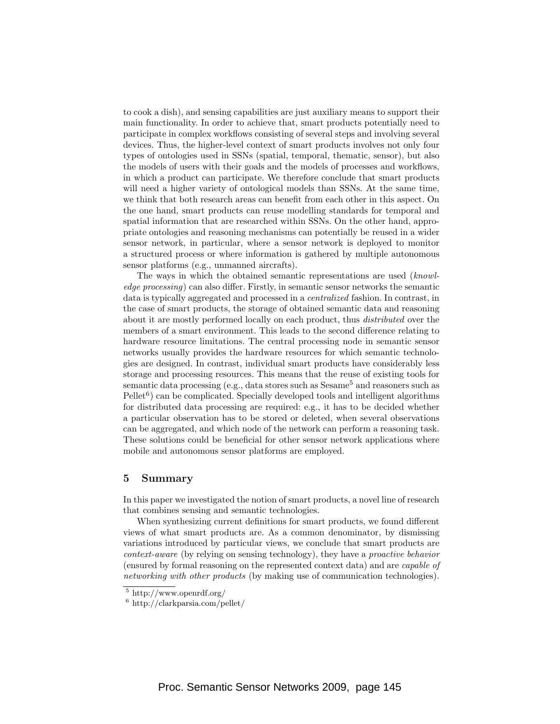to cook a dish), and sensing capabilities are just auxiliary means to support their main functionality. In order to achieve that, smart products potentially need to participate in complex workflows consisting of several steps and involving several devices. Thus, the higher-level context of smart products involves not only four types of ontologies used in SSNs (spatial, temporal, thematic, sensor), but also the models of users with their goals and the models of processes and workflows, in which a product can participate. We therefore conclude that smart products will need a higher variety of ontological models than SSNs. At the same time, we think that both research areas can benefit from each other in this aspect. On the one hand, smart products can reuse modelling standards for temporal and spatial information that are researched within SSNs. On the other hand, appropriate ontologies and reasoning mechanisms can potentially be reused in a wider sensor network, in particular, where a sensor network is deployed to monitor a structured process or where information is gathered by multiple autonomous sensor platforms (e.g., unmanned aircrafts).

The ways in which the obtained semantic representations are used (knowledge processing) can also differ. Firstly, in semantic sensor networks the semantic data is typically aggregated and processed in a centralized fashion. In contrast, in the case of smart products, the storage of obtained semantic data and reasoning about it are mostly performed locally on each product, thus distributed over the members of a smart environment. This leads to the second difference relating to hardware resource limitations. The central processing node in semantic sensor networks usually provides the hardware resources for which semantic technologies are designed. In contrast, individual smart products have considerably less storage and processing resources. This means that the reuse of existing tools for semantic data processing (e.g., data stores such as  $Sesame<sup>5</sup>$  and reasoners such as Pellet<sup>6</sup>) can be complicated. Specially developed tools and intelligent algorithms for distributed data processing are required: e.g., it has to be decided whether a particular observation has to be stored or deleted, when several observations can be aggregated, and which node of the network can perform a reasoning task. These solutions could be beneficial for other sensor network applications where mobile and autonomous sensor platforms are employed.

### 5 Summary

In this paper we investigated the notion of smart products, a novel line of research that combines sensing and semantic technologies.

When synthesizing current definitions for smart products, we found different views of what smart products are. As a common denominator, by dismissing variations introduced by particular views, we conclude that smart products are context-aware (by relying on sensing technology), they have a proactive behavior (ensured by formal reasoning on the represented context data) and are capable of networking with other products (by making use of communication technologies).

<sup>5</sup> http://www.openrdf.org/

 $6 \frac{\text{http://clarkparsia.com/peller}}{}$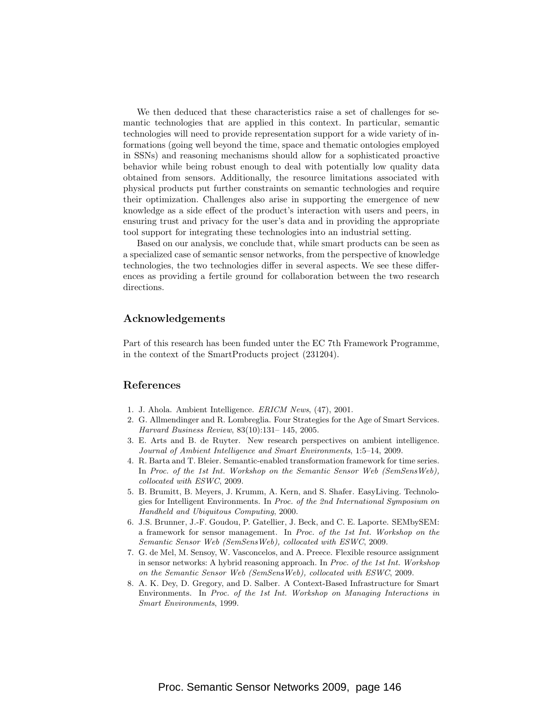We then deduced that these characteristics raise a set of challenges for semantic technologies that are applied in this context. In particular, semantic technologies will need to provide representation support for a wide variety of informations (going well beyond the time, space and thematic ontologies employed in SSNs) and reasoning mechanisms should allow for a sophisticated proactive behavior while being robust enough to deal with potentially low quality data obtained from sensors. Additionally, the resource limitations associated with physical products put further constraints on semantic technologies and require their optimization. Challenges also arise in supporting the emergence of new knowledge as a side effect of the product's interaction with users and peers, in ensuring trust and privacy for the user's data and in providing the appropriate tool support for integrating these technologies into an industrial setting.

Based on our analysis, we conclude that, while smart products can be seen as a specialized case of semantic sensor networks, from the perspective of knowledge technologies, the two technologies differ in several aspects. We see these differences as providing a fertile ground for collaboration between the two research directions.

## Acknowledgements

Part of this research has been funded unter the EC 7th Framework Programme, in the context of the SmartProducts project (231204).

### References

- 1. J. Ahola. Ambient Intelligence. ERICM News, (47), 2001.
- 2. G. Allmendinger and R. Lombreglia. Four Strategies for the Age of Smart Services. Harvard Business Review, 83(10):131– 145, 2005.
- 3. E. Arts and B. de Ruyter. New research perspectives on ambient intelligence. Journal of Ambient Intelligence and Smart Environments, 1:5–14, 2009.
- 4. R. Barta and T. Bleier. Semantic-enabled transformation framework for time series. In Proc. of the 1st Int. Workshop on the Semantic Sensor Web (SemSensWeb), collocated with ESWC, 2009.
- 5. B. Brumitt, B. Meyers, J. Krumm, A. Kern, and S. Shafer. EasyLiving. Technologies for Intelligent Environments. In Proc. of the 2nd International Symposium on Handheld and Ubiquitous Computing, 2000.
- 6. J.S. Brunner, J.-F. Goudou, P. Gatellier, J. Beck, and C. E. Laporte. SEMbySEM: a framework for sensor management. In Proc. of the 1st Int. Workshop on the Semantic Sensor Web (SemSensWeb), collocated with ESWC, 2009.
- 7. G. de Mel, M. Sensoy, W. Vasconcelos, and A. Preece. Flexible resource assignment in sensor networks: A hybrid reasoning approach. In Proc. of the 1st Int. Workshop on the Semantic Sensor Web (SemSensWeb), collocated with ESWC, 2009.
- 8. A. K. Dey, D. Gregory, and D. Salber. A Context-Based Infrastructure for Smart Environments. In Proc. of the 1st Int. Workshop on Managing Interactions in Smart Environments, 1999.